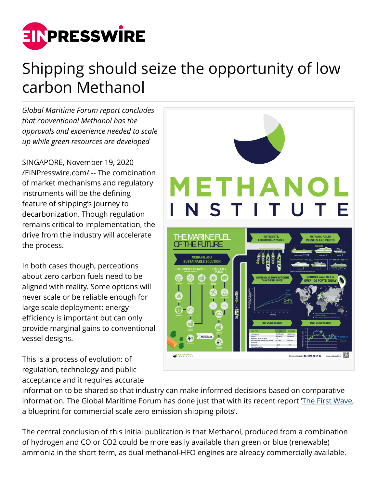

## Shipping should seize the opportunity of low carbon Methanol

*Global Maritime Forum report concludes that conventional Methanol has the approvals and experience needed to scale up while green resources are developed*

SINGAPORE, November 19, 2020 [/EINPresswire.com/](http://www.einpresswire.com) -- The combination of market mechanisms and regulatory instruments will be the defining feature of shipping's journey to decarbonization. Though regulation remains critical to implementation, the drive from the industry will accelerate the process.

In both cases though, perceptions about zero carbon fuels need to be aligned with reality. Some options will never scale or be reliable enough for large scale deployment; energy efficiency is important but can only provide marginal gains to conventional vessel designs.

This is a process of evolution: of regulation, technology and public acceptance and it requires accurate



information to be shared so that industry can make informed decisions based on comparative information. The Global Maritime Forum has done just that with its recent report [The First Wave](https://safety4sea.com/wp-content/uploads/2020/11/The-First-Wave-%E2%80%93-A-blueprint-for-commercial-scale-zero-emission-shipping-pilots.pdf), a blueprint for commercial scale zero emission shipping pilots'.

The central conclusion of this initial publication is that Methanol, produced from a combination of hydrogen and CO or CO2 could be more easily available than green or blue (renewable) ammonia in the short term, as dual methanol-HFO engines are already commercially available.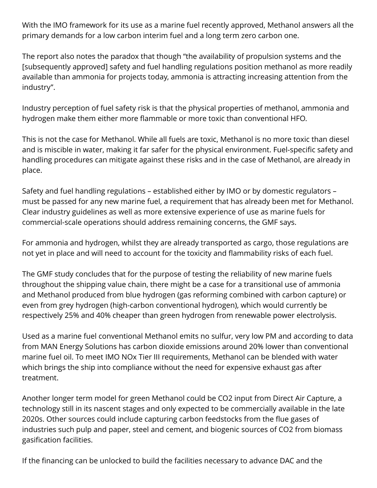With the IMO framework for its use as a marine fuel recently approved, Methanol answers all the primary demands for a low carbon interim fuel and a long term zero carbon one.

The report also notes the paradox that though "the availability of propulsion systems and the [subsequently approved] safety and fuel handling regulations position methanol as more readily available than ammonia for projects today, ammonia is attracting increasing attention from the industry".

Industry perception of fuel safety risk is that the physical properties of methanol, ammonia and hydrogen make them either more flammable or more toxic than conventional HFO.

This is not the case for Methanol. While all fuels are toxic, Methanol is no more toxic than diesel and is miscible in water, making it far safer for the physical environment. Fuel-specific safety and handling procedures can mitigate against these risks and in the case of Methanol, are already in place.

Safety and fuel handling regulations – established either by IMO or by domestic regulators – must be passed for any new marine fuel, a requirement that has already been met for Methanol. Clear industry guidelines as well as more extensive experience of use as marine fuels for commercial-scale operations should address remaining concerns, the GMF says.

For ammonia and hydrogen, whilst they are already transported as cargo, those regulations are not yet in place and will need to account for the toxicity and flammability risks of each fuel.

The GMF study concludes that for the purpose of testing the reliability of new marine fuels throughout the shipping value chain, there might be a case for a transitional use of ammonia and Methanol produced from blue hydrogen (gas reforming combined with carbon capture) or even from grey hydrogen (high-carbon conventional hydrogen), which would currently be respectively 25% and 40% cheaper than green hydrogen from renewable power electrolysis.

Used as a marine fuel conventional Methanol emits no sulfur, very low PM and according to data from MAN Energy Solutions has carbon dioxide emissions around 20% lower than conventional marine fuel oil. To meet IMO NOx Tier III requirements, Methanol can be blended with water which brings the ship into compliance without the need for expensive exhaust gas after treatment.

Another longer term model for green Methanol could be CO2 input from Direct Air Capture, a technology still in its nascent stages and only expected to be commercially available in the late 2020s. Other sources could include capturing carbon feedstocks from the flue gases of industries such pulp and paper, steel and cement, and biogenic sources of CO2 from biomass gasification facilities.

If the financing can be unlocked to build the facilities necessary to advance DAC and the